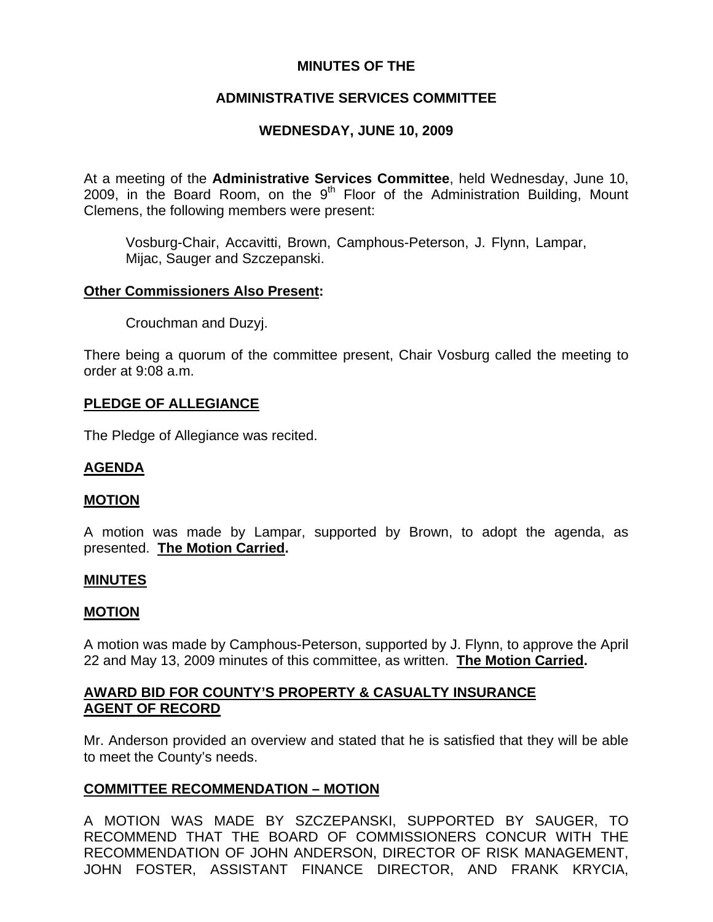# **MINUTES OF THE**

# **ADMINISTRATIVE SERVICES COMMITTEE**

# **WEDNESDAY, JUNE 10, 2009**

At a meeting of the **Administrative Services Committee**, held Wednesday, June 10, 2009, in the Board Room, on the  $9<sup>th</sup>$  Floor of the Administration Building, Mount Clemens, the following members were present:

Vosburg-Chair, Accavitti, Brown, Camphous-Peterson, J. Flynn, Lampar, Mijac, Sauger and Szczepanski.

## **Other Commissioners Also Present:**

Crouchman and Duzyj.

There being a quorum of the committee present, Chair Vosburg called the meeting to order at 9:08 a.m.

## **PLEDGE OF ALLEGIANCE**

The Pledge of Allegiance was recited.

## **AGENDA**

#### **MOTION**

A motion was made by Lampar, supported by Brown, to adopt the agenda, as presented. **The Motion Carried.** 

#### **MINUTES**

#### **MOTION**

A motion was made by Camphous-Peterson, supported by J. Flynn, to approve the April 22 and May 13, 2009 minutes of this committee, as written. **The Motion Carried.** 

# **AWARD BID FOR COUNTY'S PROPERTY & CASUALTY INSURANCE AGENT OF RECORD**

Mr. Anderson provided an overview and stated that he is satisfied that they will be able to meet the County's needs.

## **COMMITTEE RECOMMENDATION – MOTION**

A MOTION WAS MADE BY SZCZEPANSKI, SUPPORTED BY SAUGER, TO RECOMMEND THAT THE BOARD OF COMMISSIONERS CONCUR WITH THE RECOMMENDATION OF JOHN ANDERSON, DIRECTOR OF RISK MANAGEMENT, JOHN FOSTER, ASSISTANT FINANCE DIRECTOR, AND FRANK KRYCIA,